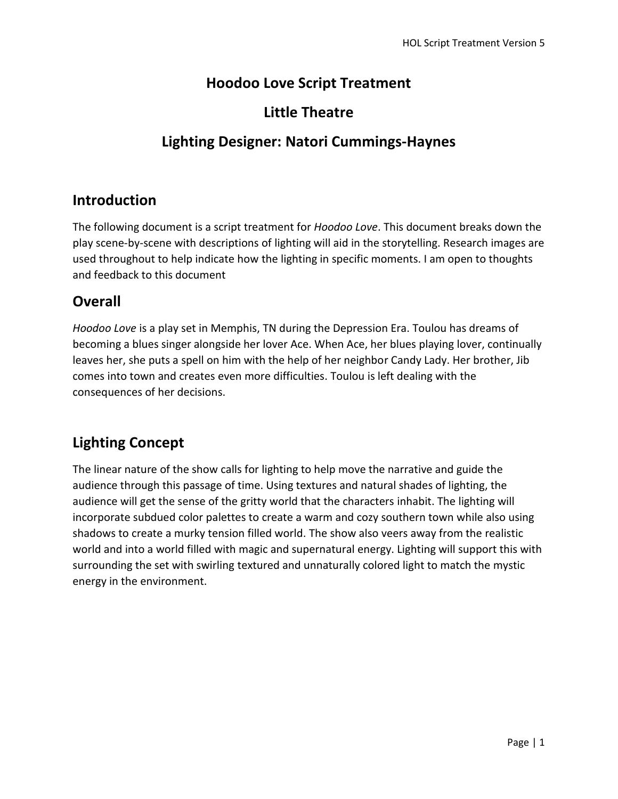## **Hoodoo Love Script Treatment**

## **Little Theatre**

## **Lighting Designer: Natori Cummings-Haynes**

#### **Introduction**

The following document is a script treatment for *Hoodoo Love*. This document breaks down the play scene-by-scene with descriptions of lighting will aid in the storytelling. Research images are used throughout to help indicate how the lighting in specific moments. I am open to thoughts and feedback to this document

## **Overall**

*Hoodoo Love* is a play set in Memphis, TN during the Depression Era. Toulou has dreams of becoming a blues singer alongside her lover Ace. When Ace, her blues playing lover, continually leaves her, she puts a spell on him with the help of her neighbor Candy Lady. Her brother, Jib comes into town and creates even more difficulties. Toulou is left dealing with the consequences of her decisions.

# **Lighting Concept**

The linear nature of the show calls for lighting to help move the narrative and guide the audience through this passage of time. Using textures and natural shades of lighting, the audience will get the sense of the gritty world that the characters inhabit. The lighting will incorporate subdued color palettes to create a warm and cozy southern town while also using shadows to create a murky tension filled world. The show also veers away from the realistic world and into a world filled with magic and supernatural energy. Lighting will support this with surrounding the set with swirling textured and unnaturally colored light to match the mystic energy in the environment.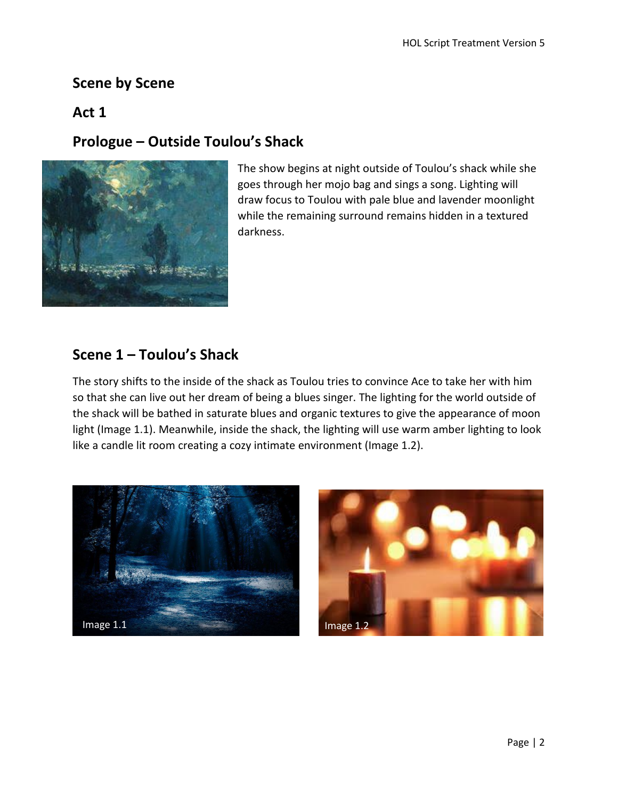## **Scene by Scene**

#### **Act 1**

# **Prologue – Outside Toulou's Shack**



The show begins at night outside of Toulou's shack while she goes through her mojo bag and sings a song. Lighting will draw focus to Toulou with pale blue and lavender moonlight while the remaining surround remains hidden in a textured darkness.

## **Scene 1 – Toulou's Shack**

The story shifts to the inside of the shack as Toulou tries to convince Ace to take her with him so that she can live out her dream of being a blues singer. The lighting for the world outside of the shack will be bathed in saturate blues and organic textures to give the appearance of moon light (Image 1.1). Meanwhile, inside the shack, the lighting will use warm amber lighting to look like a candle lit room creating a cozy intimate environment (Image 1.2).



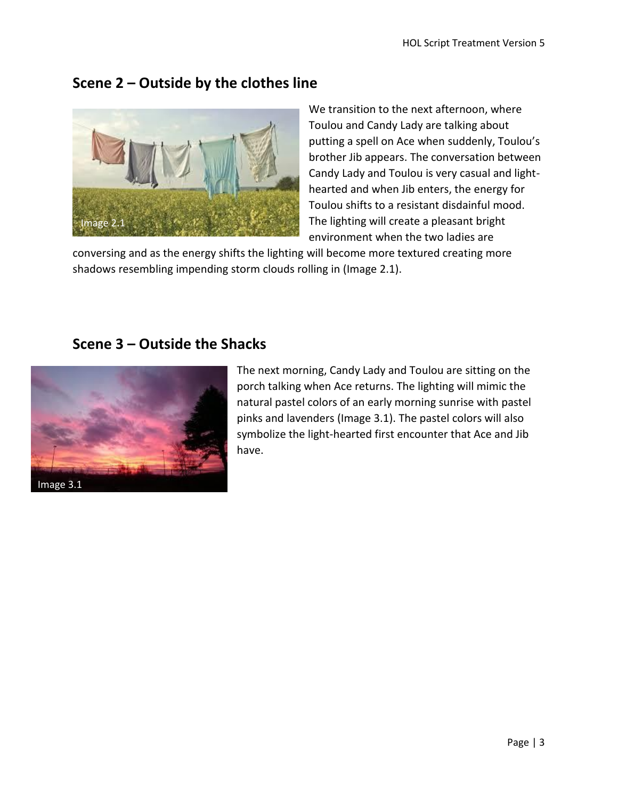## **Scene 2 – Outside by the clothes line**



We transition to the next afternoon, where Toulou and Candy Lady are talking about putting a spell on Ace when suddenly, Toulou's brother Jib appears. The conversation between Candy Lady and Toulou is very casual and lighthearted and when Jib enters, the energy for Toulou shifts to a resistant disdainful mood. The lighting will create a pleasant bright environment when the two ladies are

conversing and as the energy shifts the lighting will become more textured creating more shadows resembling impending storm clouds rolling in (Image 2.1).

#### **Scene 3 – Outside the Shacks**



The next morning, Candy Lady and Toulou are sitting on the porch talking when Ace returns. The lighting will mimic the natural pastel colors of an early morning sunrise with pastel pinks and lavenders (Image 3.1). The pastel colors will also symbolize the light-hearted first encounter that Ace and Jib have.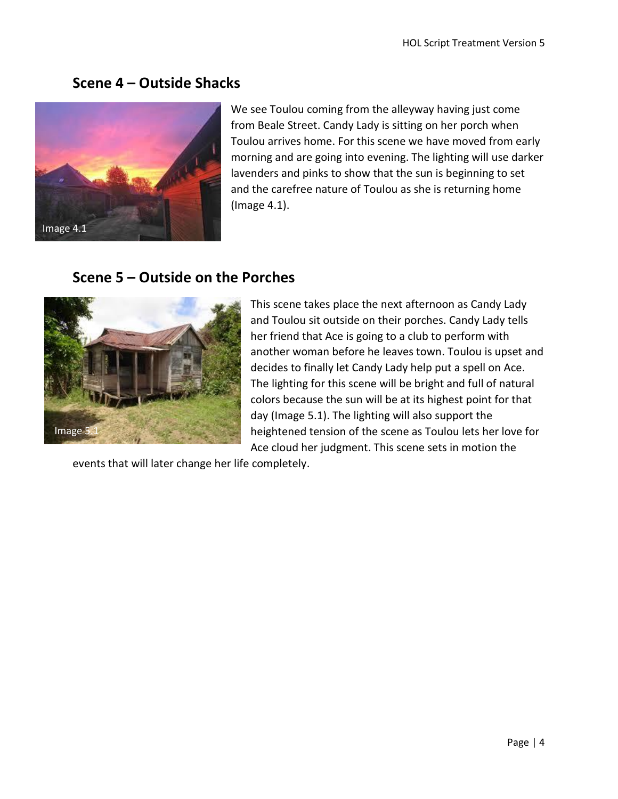### **Scene 4 – Outside Shacks**



We see Toulou coming from the alleyway having just come from Beale Street. Candy Lady is sitting on her porch when Toulou arrives home. For this scene we have moved from early morning and are going into evening. The lighting will use darker lavenders and pinks to show that the sun is beginning to set and the carefree nature of Toulou as she is returning home (Image 4.1).

#### **Scene 5 – Outside on the Porches**



This scene takes place the next afternoon as Candy Lady and Toulou sit outside on their porches. Candy Lady tells her friend that Ace is going to a club to perform with another woman before he leaves town. Toulou is upset and decides to finally let Candy Lady help put a spell on Ace. The lighting for this scene will be bright and full of natural colors because the sun will be at its highest point for that day (Image 5.1). The lighting will also support the heightened tension of the scene as Toulou lets her love for Ace cloud her judgment. This scene sets in motion the

events that will later change her life completely.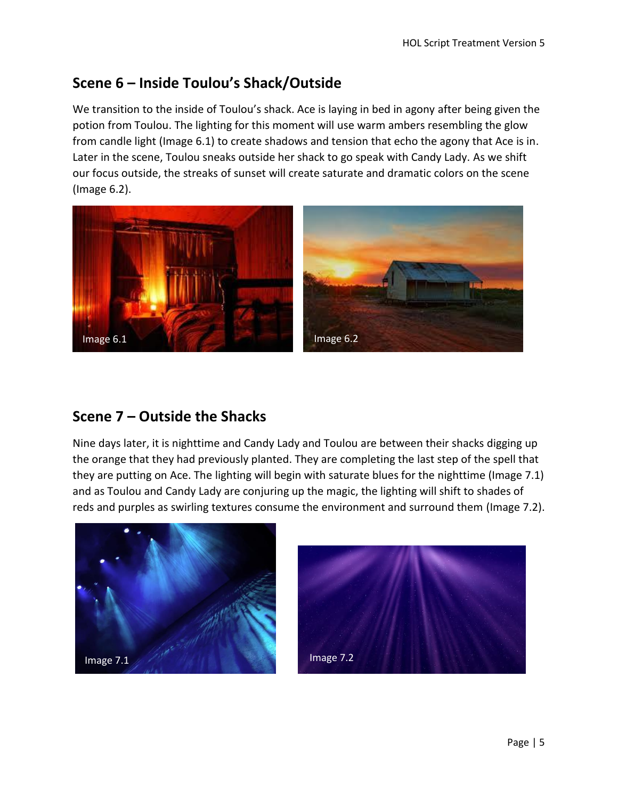# **Scene 6 – Inside Toulou's Shack/Outside**

We transition to the inside of Toulou's shack. Ace is laying in bed in agony after being given the potion from Toulou. The lighting for this moment will use warm ambers resembling the glow from candle light (Image 6.1) to create shadows and tension that echo the agony that Ace is in. Later in the scene, Toulou sneaks outside her shack to go speak with Candy Lady. As we shift our focus outside, the streaks of sunset will create saturate and dramatic colors on the scene (Image 6.2).



### **Scene 7 – Outside the Shacks**

Nine days later, it is nighttime and Candy Lady and Toulou are between their shacks digging up the orange that they had previously planted. They are completing the last step of the spell that they are putting on Ace. The lighting will begin with saturate blues for the nighttime (Image 7.1) and as Toulou and Candy Lady are conjuring up the magic, the lighting will shift to shades of reds and purples as swirling textures consume the environment and surround them (Image 7.2).



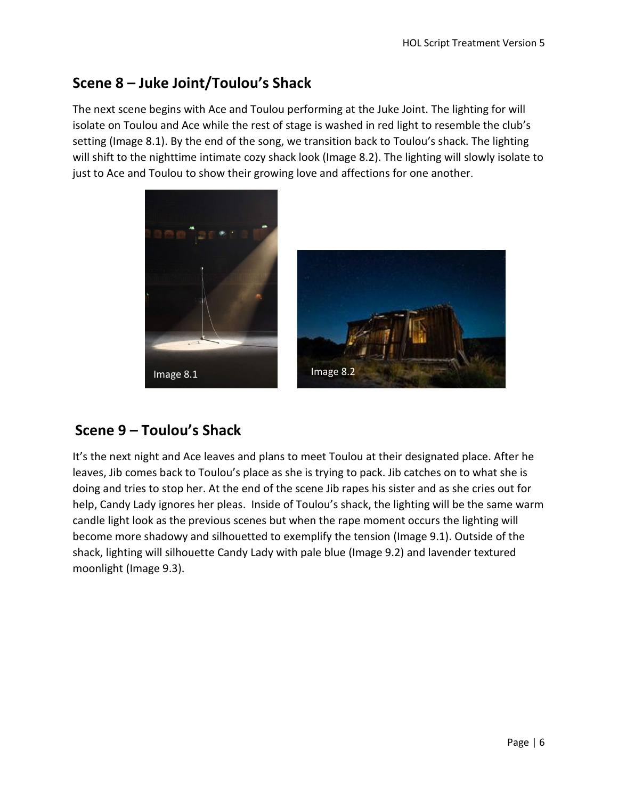## **Scene 8 – Juke Joint/Toulou's Shack**

The next scene begins with Ace and Toulou performing at the Juke Joint. The lighting for will isolate on Toulou and Ace while the rest of stage is washed in red light to resemble the club's setting (Image 8.1). By the end of the song, we transition back to Toulou's shack. The lighting will shift to the nighttime intimate cozy shack look (Image 8.2). The lighting will slowly isolate to just to Ace and Toulou to show their growing love and affections for one another.





# **Scene 9 – Toulou's Shack**

It's the next night and Ace leaves and plans to meet Toulou at their designated place. After he leaves, Jib comes back to Toulou's place as she is trying to pack. Jib catches on to what she is doing and tries to stop her. At the end of the scene Jib rapes his sister and as she cries out for help, Candy Lady ignores her pleas. Inside of Toulou's shack, the lighting will be the same warm candle light look as the previous scenes but when the rape moment occurs the lighting will become more shadowy and silhouetted to exemplify the tension (Image 9.1). Outside of the shack, lighting will silhouette Candy Lady with pale blue (Image 9.2) and lavender textured moonlight (Image 9.3).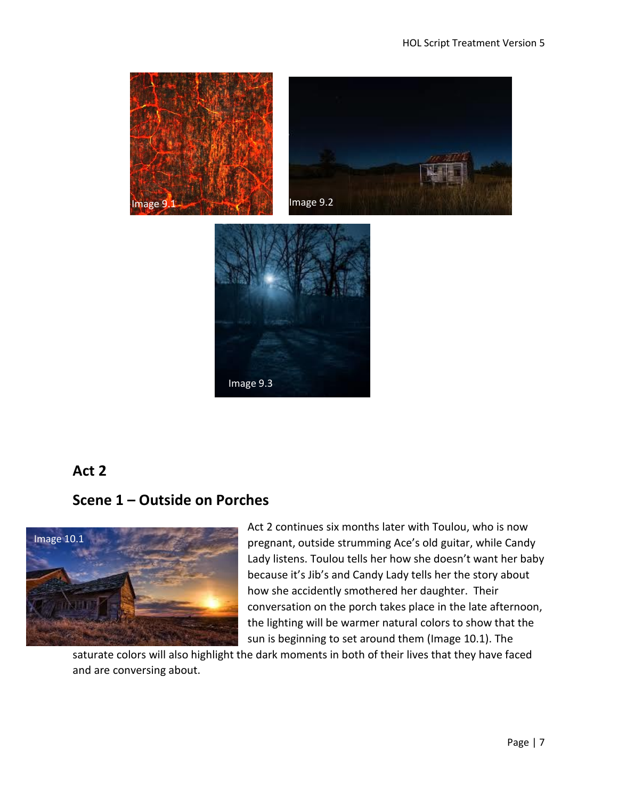

### **Act 2**

### **Scene 1 – Outside on Porches**



Act 2 continues six months later with Toulou, who is now pregnant, outside strumming Ace's old guitar, while Candy Lady listens. Toulou tells her how she doesn't want her baby because it's Jib's and Candy Lady tells her the story about how she accidently smothered her daughter. Their conversation on the porch takes place in the late afternoon, the lighting will be warmer natural colors to show that the sun is beginning to set around them (Image 10.1). The

saturate colors will also highlight the dark moments in both of their lives that they have faced and are conversing about.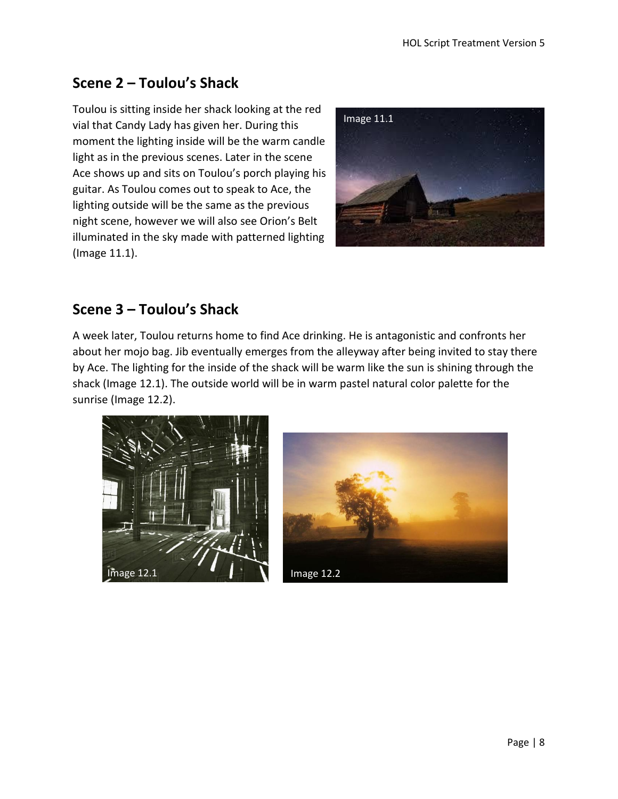# **Scene 2 – Toulou's Shack**

Toulou is sitting inside her shack looking at the red vial that Candy Lady has given her. During this moment the lighting inside will be the warm candle light as in the previous scenes. Later in the scene Ace shows up and sits on Toulou's porch playing his guitar. As Toulou comes out to speak to Ace, the lighting outside will be the same as the previous night scene, however we will also see Orion's Belt illuminated in the sky made with patterned lighting (Image 11.1).



# **Scene 3 – Toulou's Shack**

A week later, Toulou returns home to find Ace drinking. He is antagonistic and confronts her about her mojo bag. Jib eventually emerges from the alleyway after being invited to stay there by Ace. The lighting for the inside of the shack will be warm like the sun is shining through the shack (Image 12.1). The outside world will be in warm pastel natural color palette for the sunrise (Image 12.2).